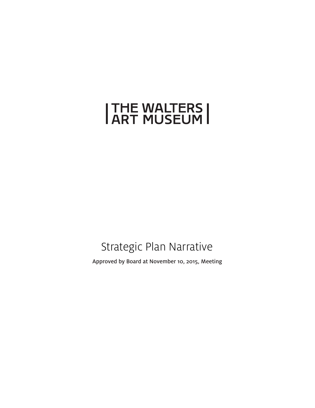# **THE WALTERS |<br>| ART MUSEUM |**

### Strategic Plan Narrative

Approved by Board at November 10, 2015, Meeting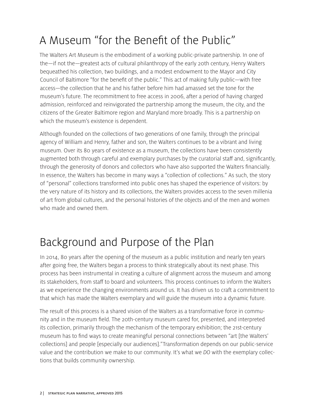# A Museum "for the Benefit of the Public"

The Walters Art Museum is the embodiment of a working public-private partnership. In one of the—if not the—greatest acts of cultural philanthropy of the early 20th century, Henry Walters bequeathed his collection, two buildings, and a modest endowment to the Mayor and City Council of Baltimore "for the benefit of the public." This act of making fully public—with free access—the collection that he and his father before him had amassed set the tone for the museum's future. The recommitment to free access in 2006, after a period of having charged admission, reinforced and reinvigorated the partnership among the museum, the city, and the citizens of the Greater Baltimore region and Maryland more broadly. This is a partnership on which the museum's existence is dependent.

Although founded on the collections of two generations of one family, through the principal agency of William and Henry, father and son, the Walters continues to be a vibrant and living museum. Over its 80 years of existence as a museum, the collections have been consistently augmented both through careful and exemplary purchases by the curatorial staff and, significantly, through the generosity of donors and collectors who have also supported the Walters financially. In essence, the Walters has become in many ways a "collection of collections." As such, the story of "personal" collections transformed into public ones has shaped the experience of visitors: by the very nature of its history and its collections, the Walters provides access to the seven millenia of art from global cultures, and the personal histories of the objects and of the men and women who made and owned them.

### Background and Purpose of the Plan

In 2014, 80 years after the opening of the museum as a public institution and nearly ten years after going free, the Walters began a process to think strategically about its next phase. This process has been instrumental in creating a culture of alignment across the museum and among its stakeholders, from staff to board and volunteers. This process continues to inform the Walters as we experience the changing environments around us. It has driven us to craft a commitment to that which has made the Walters exemplary and will guide the museum into a dynamic future.

The result of this process is a shared vision of the Walters as a transformative force in community and in the museum field. The 20th-century museum cared for, presented, and interpreted its collection, primarily through the mechanism of the temporary exhibition; the 21st-century museum has to find ways to create meaningful personal connections between "art [the Walters' collections] and people [especially our audiences]."Transformation depends on our public-service value and the contribution we make to our community. It's what we *DO* with the exemplary collections that builds community ownership.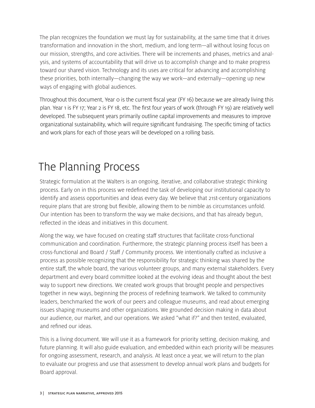The plan recognizes the foundation we must lay for sustainability, at the same time that it drives transformation and innovation in the short, medium, and long term—all without losing focus on our mission, strengths, and core activities. There will be increments and phases, metrics and analysis, and systems of accountability that will drive us to accomplish change and to make progress toward our shared vision. Technology and its uses are critical for advancing and accomplishing these priorities, both internally—changing the way we work—and externally—opening up new ways of engaging with global audiences.

Throughout this document, Year 0 is the current fiscal year (FY 16) because we are already living this plan. Year 1 is FY 17; Year 2 is FY 18, etc. The first four years of work (through FY 19) are relatively well developed. The subsequent years primarily outline capital improvements and measures to improve organizational sustainability, which will require significant fundraising. The specific timing of tactics and work plans for each of those years will be developed on a rolling basis.

### The Planning Process

Strategic formulation at the Walters is an ongoing, iterative, and collaborative strategic thinking process. Early on in this process we redefined the task of developing our institutional capacity to identify and assess opportunities and ideas every day. We believe that 21st-century organizations require plans that are strong but flexible, allowing them to be nimble as circumstances unfold. Our intention has been to transform the way we make decisions, and that has already begun, reflected in the ideas and initiatives in this document.

Along the way, we have focused on creating staff structures that facilitate cross-functional communication and coordination. Furthermore, the strategic planning process itself has been a cross-functional and Board / Staff / Community process. We intentionally crafted as inclusive a process as possible recognizing that the responsibility for strategic thinking was shared by the entire staff, the whole board, the various volunteer groups, and many external stakeholders. Every department and every board committee looked at the evolving ideas and thought about the best way to support new directions. We created work groups that brought people and perspectives together in new ways, beginning the process of redefining teamwork. We talked to community leaders, benchmarked the work of our peers and colleague museums, and read about emerging issues shaping museums and other organizations. We grounded decision making in data about our audience, our market, and our operations. We asked "what if?" and then tested, evaluated, and refined our ideas.

This is a living document. We will use it as a framework for priority setting, decision making, and future planning. It will also guide evaluation, and embedded within each priority will be measures for ongoing assessment, research, and analysis. At least once a year, we will return to the plan to evaluate our progress and use that assessment to develop annual work plans and budgets for Board approval.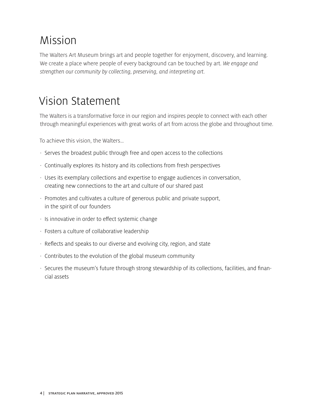### Mission

The Walters Art Museum brings art and people together for enjoyment, discovery, and learning. We create a place where people of every background can be touched by art. *We engage and strengthen our community by collecting, preserving, and interpreting art.*

### Vision Statement

The Walters is a transformative force in our region and inspires people to connect with each other through meaningful experiences with great works of art from across the globe and throughout time.

To achieve this vision, the Walters…

- · Serves the broadest public through free and open access to the collections
- · Continually explores its history and its collections from fresh perspectives
- · Uses its exemplary collections and expertise to engage audiences in conversation, creating new connections to the art and culture of our shared past
- · Promotes and cultivates a culture of generous public and private support, in the spirit of our founders
- · Is innovative in order to effect systemic change
- · Fosters a culture of collaborative leadership
- · Reflects and speaks to our diverse and evolving city, region, and state
- · Contributes to the evolution of the global museum community
- · Secures the museum's future through strong stewardship of its collections, facilities, and financial assets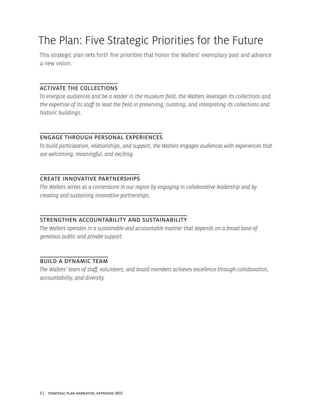### The Plan: Five Strategic Priorities for the Future

This strategic plan sets forth five priorities that honor the Walters' exemplary past and advance a new vision.

#### ACTIVATE THE COLLECTIONS

*To energize audiences and be a leader in the museum field, the Walters leverages its collections and the expertise of its staff to lead the field in preserving, curating, and interpreting its collections and historic buildings.* 

#### ENGAGE THROUGH PERSONAL EXPERIENCES

*To build participation, relationships, and support, the Walters engages audiences with experiences that are welcoming, meaningful, and exciting.*

#### CREATE INNOVATIVE PARTNERSHIPS

*The Walters serves as a cornerstone in our region by engaging in collaborative leadership and by creating and sustaining innovative partnerships.*

#### STRENGTHEN ACCOUNTABILITY AND SUSTAINABILITY

The Walters operates in a sustainable and accountable manner that depends on a broad base of *generous public and private support.*

#### BUILD A DYNAMIC TEAM

*The Walters' team of staff, volunteers, and board members achieves excellence through collaboration, accountability, and diversity.*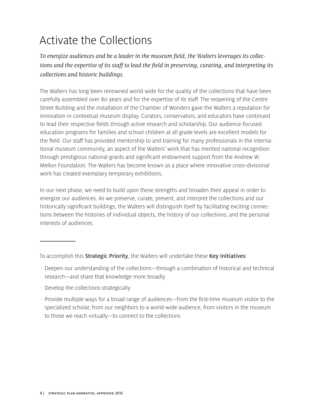# Activate the Collections

*To energize audiences and be a leader in the museum field, the Walters leverages its collections and the expertise of its staff to lead the field in preserving, curating, and interpreting its collections and historic buildings.* 

The Walters has long been renowned world-wide for the quality of the collections that have been carefully assembled over 80 years and for the expertise of its staff. The reopening of the Centre Street Building and the installation of the Chamber of Wonders gave the Walters a reputation for innovation in contextual museum display. Curators, conservators, and educators have continued to lead their respective fields through active research and scholarship. Our audience-focused education programs for families and school children at all grade levels are excellent models for the field. Our staff has provided mentorship to and training for many professionals in the international museum community, an aspect of the Walters' work that has merited national recognition through prestigious national grants and significant endowment support from the Andrew W. Mellon Foundation. The Walters has become known as a place where innovative cross-divisional work has created exemplary temporary exhibitions.

In our next phase, we need to build upon these strengths and broaden their appeal in order to energize our audiences. As we preserve, curate, present, and interpret the collections and our historically significant buildings, the Walters will distinguish itself by facilitating exciting connections between the histories of individual objects, the history of our collections, and the personal interests of audiences.

- · Deepen our understanding of the collections—through a combination of historical and technical research—and share that knowledge more broadly
- · Develop the collections strategically
- · Provide multiple ways for a broad range of audiences—from the first-time museum visitor to the specialized scholar, from our neighbors to a world-wide audience, from visitors in the museum to those we reach virtually—to connect to the collections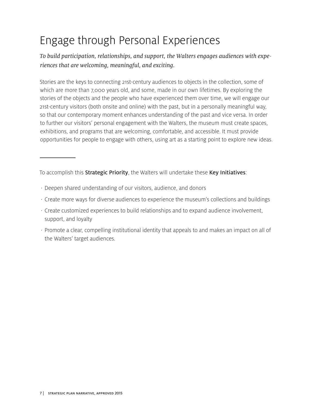# Engage through Personal Experiences

*To build participation, relationships, and support, the Walters engages audiences with experiences that are welcoming, meaningful, and exciting.*

Stories are the keys to connecting 21st-century audiences to objects in the collection, some of which are more than 7,000 years old, and some, made in our own lifetimes. By exploring the stories of the objects and the people who have experienced them over time, we will engage our 21st-century visitors (both onsite and online) with the past, but in a personally meaningful way, so that our contemporary moment enhances understanding of the past and vice versa. In order to further our visitors' personal engagement with the Walters, the museum must create spaces, exhibitions, and programs that are welcoming, comfortable, and accessible. It must provide opportunities for people to engage with others, using art as a starting point to explore new ideas.

- · Deepen shared understanding of our visitors, audience, and donors
- · Create more ways for diverse audiences to experience the museum's collections and buildings
- · Create customized experiences to build relationships and to expand audience involvement, support, and loyalty
- · Promote a clear, compelling institutional identity that appeals to and makes an impact on all of the Walters' target audiences.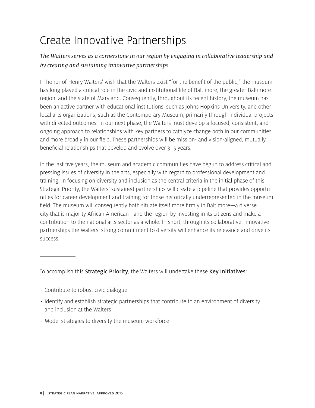# Create Innovative Partnerships

*The Walters serves as a cornerstone in our region by engaging in collaborative leadership and by creating and sustaining innovative partnerships.*

In honor of Henry Walters' wish that the Walters exist "for the benefit of the public," the museum has long played a critical role in the civic and institutional life of Baltimore, the greater Baltimore region, and the state of Maryland. Consequently, throughout its recent history, the museum has been an active partner with educational institutions, such as Johns Hopkins University, and other local arts organizations, such as the Contemporary Museum, primarily through individual projects with directed outcomes. In our next phase, the Walters must develop a focused, consistent, and ongoing approach to relationships with key partners to catalyze change both in our communities and more broadly in our field. These partnerships will be mission- and vision-aligned, mutually beneficial relationships that develop and evolve over 3–5 years.

In the last five years, the museum and academic communities have begun to address critical and pressing issues of diversity in the arts, especially with regard to professional development and training. In focusing on diversity and inclusion as the central criteria in the initial phase of this Strategic Priority, the Walters' sustained partnerships will create a pipeline that provides opportunities for career development and training for those historically underrepresented in the museum field. The museum will consequently both situate itself more firmly in Baltimore—a diverse city that is majority African American—and the region by investing in its citizens and make a contribution to the national arts sector as a whole. In short, through its collaborative, innovative partnerships the Walters' strong commitment to diversity will enhance its relevance and drive its success.

- · Contribute to robust civic dialogue
- · Identify and establish strategic partnerships that contribute to an environment of diversity and inclusion at the Walters
- · Model strategies to diversity the museum workforce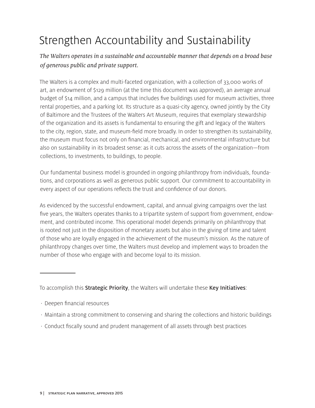# Strengthen Accountability and Sustainability

*The Walters operates in a sustainable and accountable manner that depends on a broad base of generous public and private support.*

The Walters is a complex and multi-faceted organization, with a collection of 33,000 works of art, an endowment of \$129 million (at the time this document was approved), an average annual budget of \$14 million, and a campus that includes five buildings used for museum activities, three rental properties, and a parking lot. Its structure as a quasi-city agency, owned jointly by the City of Baltimore and the Trustees of the Walters Art Museum, requires that exemplary stewardship of the organization and its assets is fundamental to ensuring the gift and legacy of the Walters to the city, region, state, and museum-field more broadly. In order to strengthen its sustainability, the museum must focus not only on financial, mechanical, and environmental infrastructure but also on sustainability in its broadest sense: as it cuts across the assets of the organization—from collections, to investments, to buildings, to people.

Our fundamental business model is grounded in ongoing philanthropy from individuals, foundations, and corporations as well as generous public support. Our commitment to accountability in every aspect of our operations reflects the trust and confidence of our donors.

As evidenced by the successful endowment, capital, and annual giving campaigns over the last five years, the Walters operates thanks to a tripartite system of support from government, endowment, and contributed income. This operational model depends primarily on philanthropy that is rooted not just in the disposition of monetary assets but also in the giving of time and talent of those who are loyally engaged in the achievement of the museum's mission. As the nature of philanthropy changes over time, the Walters must develop and implement ways to broaden the number of those who engage with and become loyal to its mission.

- · Deepen financial resources
- · Maintain a strong commitment to conserving and sharing the collections and historic buildings
- · Conduct fiscally sound and prudent management of all assets through best practices